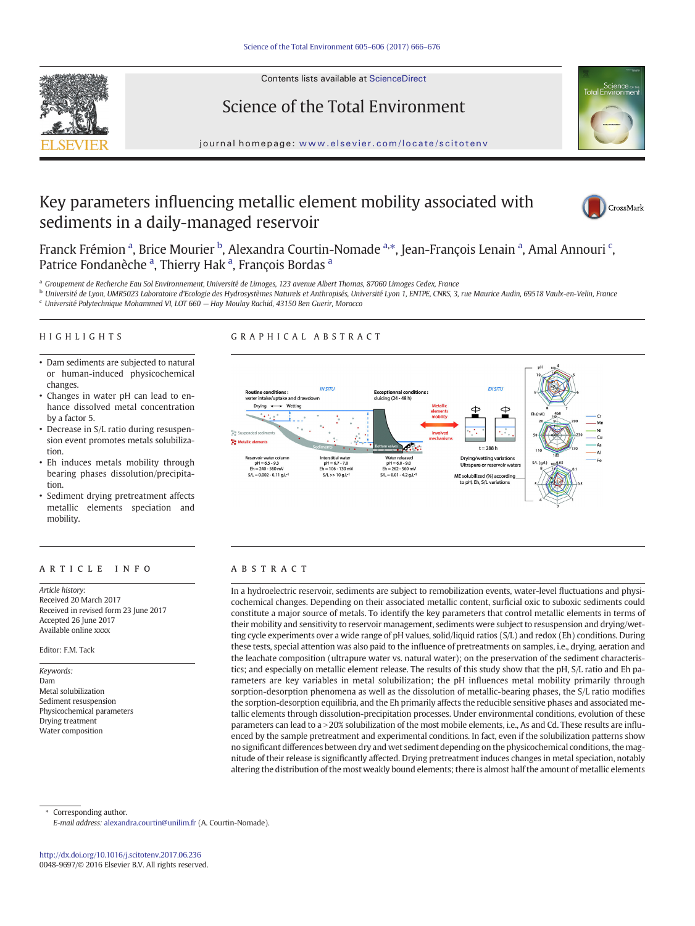

Contents lists available at ScienceDirect

# Science of the Total Environment



journal homepage: <www.elsevier.com/locate/scitotenv>

## Key parameters influencing metallic element mobility associated with sediments in a daily-managed reservoir



Franck Frémion <sup>a</sup>, Brice Mourier <sup>b</sup>, Alexandra Courtin-Nomade <sup>a,\*</sup>, Jean-François Lenain <sup>a</sup>, Amal Annouri <sup>c</sup>, Patrice Fondanèche <sup>a</sup>, Thierry Hak <sup>a</sup>, François Bordas <sup>a</sup>

a Groupement de Recherche Eau Sol Environnement, Université de Limoges, 123 avenue Albert Thomas, 87060 Limoges Cedex, France

<sup>b</sup> Université de Lyon, UMR5023 Laboratoire d'Ecologie des Hydrosystèmes Naturels et Anthropisés, Université Lyon 1, ENTPE, CNRS, 3, rue Maurice Audin, 69518 Vaulx-en-Velin, France

 $c$  Université Polytechnique Mohammed VI, LOT 660 - Hay Moulay Rachid, 43150 Ben Guerir, Morocco

#### HIGHLIGHTS

#### GRAPHICAL ABSTRACT

- Dam sediments are subjected to natural or human-induced physicochemical changes.
- Changes in water pH can lead to enhance dissolved metal concentration by a factor 5.
- Decrease in S/L ratio during resuspension event promotes metals solubilization.
- Eh induces metals mobility through bearing phases dissolution/precipitation.
- Sediment drying pretreatment affects metallic elements speciation and mobility.

#### article info abstract

Article history: Received 20 March 2017 Received in revised form 23 June 2017 Accepted 26 June 2017 Available online xxxx

Editor: F.M. Tack

Keywords: Dam Metal solubilization Sediment resuspension Physicochemical parameters Drying treatment Water composition



In a hydroelectric reservoir, sediments are subject to remobilization events, water-level fluctuations and physicochemical changes. Depending on their associated metallic content, surficial oxic to suboxic sediments could constitute a major source of metals. To identify the key parameters that control metallic elements in terms of their mobility and sensitivity to reservoir management, sediments were subject to resuspension and drying/wetting cycle experiments over a wide range of pH values, solid/liquid ratios (S/L) and redox (Eh) conditions. During these tests, special attention was also paid to the influence of pretreatments on samples, i.e., drying, aeration and the leachate composition (ultrapure water vs. natural water); on the preservation of the sediment characteristics; and especially on metallic element release. The results of this study show that the pH, S/L ratio and Eh parameters are key variables in metal solubilization; the pH influences metal mobility primarily through sorption-desorption phenomena as well as the dissolution of metallic-bearing phases, the S/L ratio modifies the sorption-desorption equilibria, and the Eh primarily affects the reducible sensitive phases and associated metallic elements through dissolution-precipitation processes. Under environmental conditions, evolution of these parameters can lead to a >20% solubilization of the most mobile elements, i.e., As and Cd. These results are influenced by the sample pretreatment and experimental conditions. In fact, even if the solubilization patterns show no significant differences between dry and wet sediment depending on the physicochemical conditions, the magnitude of their release is significantly affected. Drying pretreatment induces changes in metal speciation, notably altering the distribution of the most weakly bound elements; there is almost half the amount of metallic elements

Corresponding author.

E-mail address: [alexandra.courtin@unilim.fr](mailto:alexandra.courtin@unilim.fr) (A. Courtin-Nomade).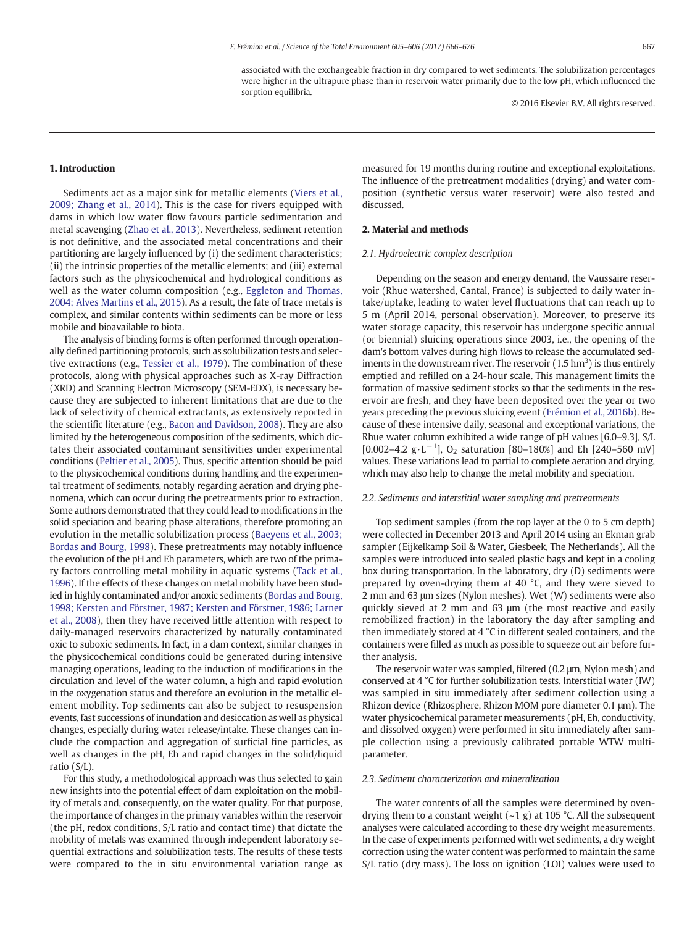associated with the exchangeable fraction in dry compared to wet sediments. The solubilization percentages were higher in the ultrapure phase than in reservoir water primarily due to the low pH, which influenced the sorption equilibria.

#### 1. Introduction

Sediments act as a major sink for metallic elements [\(Viers et al.,](#page--1-0) [2009; Zhang et al., 2014\)](#page--1-0). This is the case for rivers equipped with dams in which low water flow favours particle sedimentation and metal scavenging [\(Zhao et al., 2013](#page--1-0)). Nevertheless, sediment retention is not definitive, and the associated metal concentrations and their partitioning are largely influenced by (i) the sediment characteristics; (ii) the intrinsic properties of the metallic elements; and (iii) external factors such as the physicochemical and hydrological conditions as well as the water column composition (e.g., [Eggleton and Thomas,](#page--1-0) [2004; Alves Martins et al., 2015](#page--1-0)). As a result, the fate of trace metals is complex, and similar contents within sediments can be more or less mobile and bioavailable to biota.

The analysis of binding forms is often performed through operationally defined partitioning protocols, such as solubilization tests and selective extractions (e.g., [Tessier et al., 1979\)](#page--1-0). The combination of these protocols, along with physical approaches such as X-ray Diffraction (XRD) and Scanning Electron Microscopy (SEM-EDX), is necessary because they are subjected to inherent limitations that are due to the lack of selectivity of chemical extractants, as extensively reported in the scientific literature (e.g., [Bacon and Davidson, 2008](#page--1-0)). They are also limited by the heterogeneous composition of the sediments, which dictates their associated contaminant sensitivities under experimental conditions [\(Peltier et al., 2005](#page--1-0)). Thus, specific attention should be paid to the physicochemical conditions during handling and the experimental treatment of sediments, notably regarding aeration and drying phenomena, which can occur during the pretreatments prior to extraction. Some authors demonstrated that they could lead to modifications in the solid speciation and bearing phase alterations, therefore promoting an evolution in the metallic solubilization process ([Baeyens et al., 2003;](#page--1-0) [Bordas and Bourg, 1998\)](#page--1-0). These pretreatments may notably influence the evolution of the pH and Eh parameters, which are two of the primary factors controlling metal mobility in aquatic systems [\(Tack et al.,](#page--1-0) [1996](#page--1-0)). If the effects of these changes on metal mobility have been studied in highly contaminated and/or anoxic sediments [\(Bordas and Bourg,](#page--1-0) [1998; Kersten and Förstner, 1987; Kersten and Förstner, 1986; Larner](#page--1-0) [et al., 2008](#page--1-0)), then they have received little attention with respect to daily-managed reservoirs characterized by naturally contaminated oxic to suboxic sediments. In fact, in a dam context, similar changes in the physicochemical conditions could be generated during intensive managing operations, leading to the induction of modifications in the circulation and level of the water column, a high and rapid evolution in the oxygenation status and therefore an evolution in the metallic element mobility. Top sediments can also be subject to resuspension events, fast successions of inundation and desiccation as well as physical changes, especially during water release/intake. These changes can include the compaction and aggregation of surficial fine particles, as well as changes in the pH, Eh and rapid changes in the solid/liquid ratio (S/L).

For this study, a methodological approach was thus selected to gain new insights into the potential effect of dam exploitation on the mobility of metals and, consequently, on the water quality. For that purpose, the importance of changes in the primary variables within the reservoir (the pH, redox conditions, S/L ratio and contact time) that dictate the mobility of metals was examined through independent laboratory sequential extractions and solubilization tests. The results of these tests were compared to the in situ environmental variation range as measured for 19 months during routine and exceptional exploitations. The influence of the pretreatment modalities (drying) and water composition (synthetic versus water reservoir) were also tested and discussed.

### 2. Material and methods

#### 2.1. Hydroelectric complex description

Depending on the season and energy demand, the Vaussaire reservoir (Rhue watershed, Cantal, France) is subjected to daily water intake/uptake, leading to water level fluctuations that can reach up to 5 m (April 2014, personal observation). Moreover, to preserve its water storage capacity, this reservoir has undergone specific annual (or biennial) sluicing operations since 2003, i.e., the opening of the dam's bottom valves during high flows to release the accumulated sediments in the downstream river. The reservoir  $(1.5 \text{ hm}^3)$  is thus entirely emptied and refilled on a 24-hour scale. This management limits the formation of massive sediment stocks so that the sediments in the reservoir are fresh, and they have been deposited over the year or two years preceding the previous sluicing event ([Frémion et al., 2016b\)](#page--1-0). Because of these intensive daily, seasonal and exceptional variations, the Rhue water column exhibited a wide range of pH values [6.0–9.3], S/L [0.002–4.2 g⋅L<sup>-1</sup>], O<sub>2</sub> saturation [80–180%] and Eh [240–560 mV] values. These variations lead to partial to complete aeration and drying, which may also help to change the metal mobility and speciation.

#### 2.2. Sediments and interstitial water sampling and pretreatments

Top sediment samples (from the top layer at the 0 to 5 cm depth) were collected in December 2013 and April 2014 using an Ekman grab sampler (Eijkelkamp Soil & Water, Giesbeek, The Netherlands). All the samples were introduced into sealed plastic bags and kept in a cooling box during transportation. In the laboratory, dry (D) sediments were prepared by oven-drying them at 40 °C, and they were sieved to 2 mm and 63 μm sizes (Nylon meshes). Wet (W) sediments were also quickly sieved at 2 mm and 63 μm (the most reactive and easily remobilized fraction) in the laboratory the day after sampling and then immediately stored at 4 °C in different sealed containers, and the containers were filled as much as possible to squeeze out air before further analysis.

The reservoir water was sampled, filtered (0.2 μm, Nylon mesh) and conserved at 4 °C for further solubilization tests. Interstitial water (IW) was sampled in situ immediately after sediment collection using a Rhizon device (Rhizosphere, Rhizon MOM pore diameter 0.1 μm). The water physicochemical parameter measurements (pH, Eh, conductivity, and dissolved oxygen) were performed in situ immediately after sample collection using a previously calibrated portable WTW multiparameter.

#### 2.3. Sediment characterization and mineralization

The water contents of all the samples were determined by ovendrying them to a constant weight  $(-1 g)$  at 105 °C. All the subsequent analyses were calculated according to these dry weight measurements. In the case of experiments performed with wet sediments, a dry weight correction using the water content was performed to maintain the same S/L ratio (dry mass). The loss on ignition (LOI) values were used to